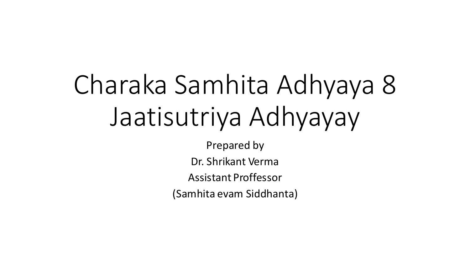# Charaka Samhita Adhyaya 8 Jaatisutriya Adhyayay

Prepared by

Dr. Shrikant Verma

Assistant Proffessor

(Samhita evam Siddhanta)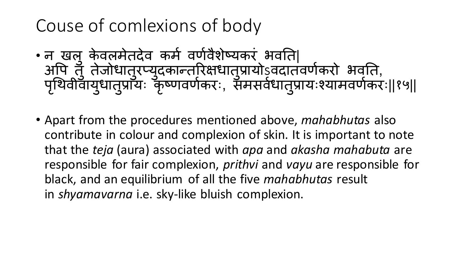#### Couse of comlexions of body

- न खल केवलमेतदेव कर्म वर्णवैशेष्यकरं भवति| अपि तुँ तेजोधातुरप्युदकान्तरिक्षधातुप्रायोऽ्वदातवर्णकरो भवति, पृथिवीवायुधातुप्रायः कृष्णवर्णकरः, समसवेधातुप्रायःश्यामवर्णकरः||१५||
- Apart from the procedures mentioned above, *mahabhutas* also contribute in colour and complexion of skin. It is important to note that the *teja* (aura) associated with *apa* and *akasha mahabuta* are responsible for fair complexion, *prithvi* and *vayu* are responsible for black, and an equilibrium of all the five *mahabhutas* result in *shyamavarna* i.e. sky-like bluish complexion.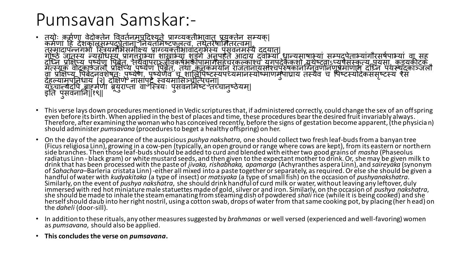#### Pumsavan Samskar:-

- तयोः कममर्ा वेदोक्तने पववतमनम ु िदद्यते प्राग्व्यक्तीभावात्प्रय ु क्तने सम्यक्| कममर्ां दि देशकालसम्िदि ु ेतानां तनयतममष्टफलत्वं, तिेतरेषाममतरत्वम्| तस्मादािन्नगभाां स्त्स्ियममभसमीक्ष्य प्राग्व्यक्तीभावाद्गभमस्य ि ु ंसवनमस्यैदद्यात|् गोष्ठे जातस्य न्यग्रोधस्य प्रागुतराभ्या शाखाभ्या शङ्गे अनुपहते आदाय दवाभ्यां धान्यमाषाभ्या सम्पदूपेताभ्यागौरसषेपाभ्या वा सह<br>गोष्ठे जातस्य न्यग्रोधस्य प्रागुतराभ्या शाखाभ्या शङ्गे अनुपहते आदाय दवाभ्यां धान्यमाषाभ्या सम्पदूप दृष्टिन प्रक्षिप्य पृष्येण पिबेत, 'तथैवापराञ्जीवकषेभकोपामागसहचरकल्काश्च युगपदेकैकशो यथेष्टवाऽप्यपैसस्कृत्य पयसा, कडयकीटकं<br>गण्डायाः बोरतान् पार्थीया पुरुषेण पुरुषेण पश्चेन पश्च नानवार्यासम् पार्तापुष्टवार्याष्ट्रायाः पार्व मत्स्यकं वोदकाञ्जलौ प्रक्षक्षप्य ि ु ष्येर् पिबेत, ् तिा कनकमयान्राजतानायसां्चि ु रुषकानस्त्ग्वनवर्ानम र् ु प्रमार्ान्दस्त्नन ियस्य ुदकाञ्जलौ वा प्रक्षिप्य पिबेदनवशेषतः पृष्येर्णै, पृष्येर्णैव च शालिपिष्टस्यपर्च्यमानस्योष्माणमुपाघ्राय तस्यैव च पिष्टस्यदिकसंसृष्टस्य रैस<br>रस्तापाठी सर्वेदनवशेषतः पृष्येर्णे नागामार्गं सामग्रासि सार्विपाटस्यपर्च्यमानस्योष्माणमुपाघ्र देहल्यामपूर्विधाय [२] दक्षिणे नासांपुट्टै स्वयमासिञ्चीत्पचना|<br>नासांस्कृतस्य संस्कृतस्य संस्कृतस्य संस्कृतस्य संस्कृतस्य संस्कृतस्य संस्कृतस्य संस्कृतस्य संस्कृतस्य संस्कृतस यूंच्चान्न्यदपि बाहुमैणा ब्रूयुराप्ता वाॅर्भ्नियः पुसवनमिष्ट तच्चानुष्ठेयम्| इति पुसवनानि||१९||
- This verse lays down procedures mentioned in Vedic scriptures that, if administered correctly, could change the sex of an offspring even before its birth. When applied in the best of places and time, these procedures bear the desired fruit invariably always. Therefore, after examining the woman who has conceived recently, before the signs of gestation become apparent, (the physician) should administer *pumsavana* (procedures to beget a healthy offspring) on her.
- On the day of the appearance of the auspicious *pushya nakshatra*, one should collect two fresh leaf-buds from a banyan tree (Ficus religiosa Linn), growing in a cow-pen (typically, an open ground or range where cows are kept), from its eastern or northern side branches. Then those leaf-buds should be added to curd and blended with either two good grains of *masha* (Phaseolus radiatus Linn - black gram) or white mustard seeds, and then given to the expectant mother to drink. Or, she may be given milk to drink that has been processed with the paste of *jivaka, rishabhaka, apamarga* (Achyranthes aspera Linn), and *saireyaka* (synonym of *Sahachara*–Barleria cristata Linn) -either all mixed into a paste together or separately, as required. Or else she should be given a handful of water with *kudyakitaka* (a type of insect) or *matsyaka* (a type of small fish) on the occasion of *pushyanakshatra*. Similarly, on the event of *pushya nakshatra*, she should drink handful of curd milk or water, without leaving any leftover, duly immersed with red hot miniature male statuettes made of gold, silver or and iron. Similarly, on the occasion of *pushya nakshatra*, she should be made to inhale the steam emanating from steaming dish of powdered *shali* rice (while it is being cooked) and she herself should daub into her right nostril, using a cotton swab, drops of water from that same cooking pot, by placing (her h ead) on the *daheli* (door-sill).
- In addition to these rituals, any other measures suggested by *brahmanas* or well versed (experienced and well-favoring) women as *pumsavana*, should also be applied.
- **This concludes the verse on** *pumsavana***.**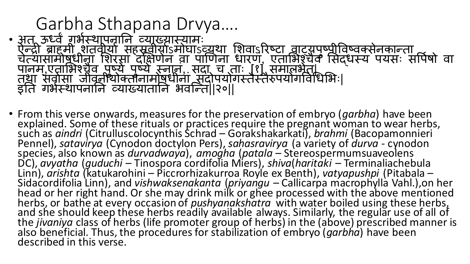#### Garbha Sthapana Drvya…. • अत ऊर्ध्वं गभेस्थापनानि व्याख्यास्यामः<br>- ऐन्द्री ब्राहमी शतवीयां सहस्रवीयाऽमोघाऽव्यथा शिवाऽरिष्टा वाट्यूपृष्पीविष्वक्सेनकान्ता<br>- संस्कृतस्य वाट्या विराग्तं सहस्रवीयाऽमोघाऽव्यथा शिवाऽरिष्टा वाट्यूपृष्पीविष्वक्सेनकान्ता चेत्यासामोषधीनां शिरसा दक्षिणेन वा पाणिनां धारण, एताभिश्चैव सिद्धस्य पयसः सपिषो वा पानम,एताभिश्चैव पृष्ये पृष्ये स्नान, सदा च ताः [१] समालभेत्।<br>न्यूम सर्कार्ग की किलेन हे प्राचेष्ट्रीया सारोपालेण कार्यकाली तथा सर्वासां जीवनीयोक्तीनामोषधीनां सदोपयोगस्तैस्तैरुपयोगविधिभिः| इति गर्भस्थापनानि व्याख्यातानि भवन्ति||२०||

• From this verse onwards, measures for the preservation of embryo (*garbha*) have been explained. Some of these rituals or practices require the pregnant woman to wear herbs, such as *aindri* (Citrulluscolocynthis Schrad – Gorakshakarkati), *brahmi* (Bacopamonnieri Pennel), *satavirya* (Cynodon doctylon Pers), *sahasravirya* (a variety of *durva* - cynodon species, also known as *durvadwaya*), *amogha* (*patala* – Stereospermumsuaveolens DC), *avyatha* (*guduchi* – Tinospora cordifolia Miers), *shiva*(*haritaki* – Terminaliachebula Linn), *arishta* (katukarohini – Piccrorhizakurroa Royle ex Benth), *vatyapushpi* (Pitabala – Sidacordifolia Linn), and *vishwaksenakanta* (*priyangu* – Callicarpa macrophylla Vahl.),on her head or her right hand. Or she may drink milk or ghee processed with the above mentioned herbs, or bathe at every occasion of *pushyangkshatra* with water boiled using these herbs, and she should keep these herbs readily available always. Similarly, the regular use of all of the *jivaniya* class of herbs (life promoter group of herbs) in the (above) prescribed manner is also beneficial. Thus, the procedures for stabilization of embryo (*garbha*) have been described in this verse.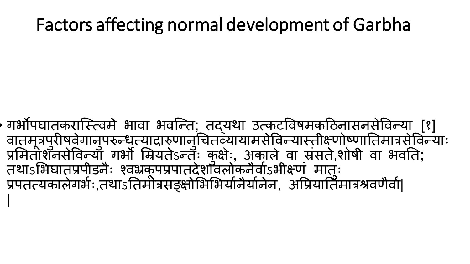#### Factors affecting normal development of Garbha

गर्भोपघातकरास्त्विमे भावा भवन्ति; तदयथा उत्कटविषमकठिनासनसेविन्या [१] वातमूत्रपुरीषवेगानुपरुन्धृत्यादारुणानुचितव्यायामसेविन्यास्तीक्ष्णोष्णातिमात्रसेविन्याः प्रमितांशॅनसेविन्याँ, गर्भौ मियतेऽन्त्ः कुक्षैः, अकाले वा स्रसते,शोषी वा भवति; तथाऽभिघातप्रपेडिनैः श्वभ्रकूपप्रपातदेशॉवलोकनैर्वोऽभीक्ष्ण् मातः प्रपतत्यकालेगर्भः,तथाऽतिमोत्रसङ्क्षोभिभिर्यानैर्यानेन, अप्रियातिमात्रश्रवणैर्वा। |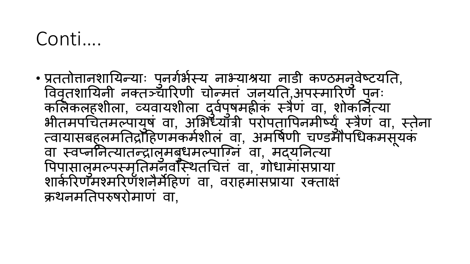#### Conti….

• प्रततोत्तानशायिन्याः पुनर्गर्भस्य नाभ्याश्रया नाडी कण्ठमनुवेष्टयति, विवृतशायिनी नक्तञ्चारिणी चोन्मत जूनयति,अपस्मारिणै पुनः कलिकलहशीला, व्यवायशीला दुवेपुषमहीक् स्त्रैण वा, शोकनित्यां भीतमपंचितमल्पायुष वा, अभिध्याँत्री परोपतापिनमीष्युं स्त्रैण वा, स्तेना त्वायासबि ु लमततरोदिर्मकममशीलं वा, अमपषमर्ी चण्डमौिथधकमसू यकं वा स्वप्नेनित्यातन्द्रालुमबुधमल्पाग्नि वा,्मद्यजित्यां पिपासालुमल्पस्मृतिमनवस्थितचित्तं वा, गोधामासप्राया ् शार्करिणॅमश्मरिर्णंशनैर्मेहिणं वा, वराहमांसप्राया रक्ताक्षं क्रिनमततिरुषरोमार्ं वा,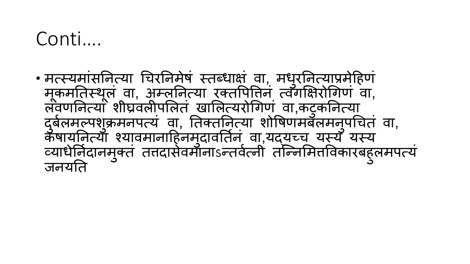#### Conti….

• मत्स्यमांसनित्या चिरनिमेषं स्तब्धाक्षं वा, मधुरनित्याप्रमेहिणं मूकमतिस्थूल वा, अम्लनित्या रक्तपितिन त्वँगक्षिरोगिण वा, लवर्णानेत्यां शीघ्रवलीपलितं खालित्यरोगिणं वा,कटुकनित्या दुर्बलमल्पशुक्रमनपत्यं वा, तिक्तर्नित्या शोषिणमबँलमनुपचितं वा, कॅषायनिर्त्या श्यावमानाहिनमुदावतिन वा,यद्यच्च यस्य यस्य व्यार्धनिदानमुक्तं तत्तदासेवमानाऽन्तवेत्नी तन्निर्मितविकारबहुलमपत्य जनयति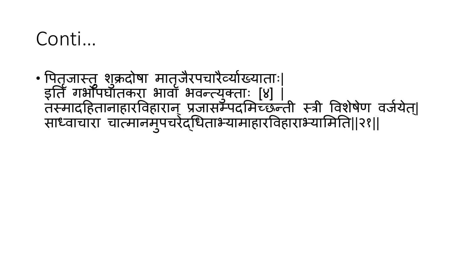### Conti…

• पितृजास्तु शुक्रदोषा मातृजैरपचारैव्योख्याताः| इति गर्भौपर्घातकरा भावाँ भवन्त्युक्ताः [४] | तस्मादहितानाहारविहारान् प्रजासम्पदमिच्छन्ती स्त्री विशेषेण वजेयेत्| साध्वाचारा चात्मानमुपचरेद्धिताभ्यामाहारविहाराभ्यामिति||२१||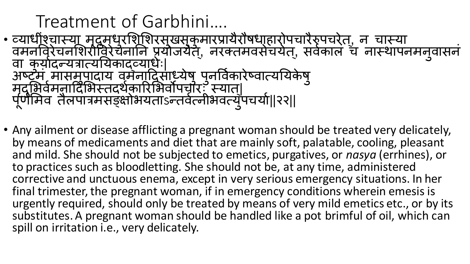#### Treatment of Garbhini…. • व्याधीश्चास्या मद्रमधुरशिशिरमुखसुकुमारप्रायैरौषधा्हारोपचारैरुपचरेत्, न चास्या वमनविरेचनशिरीविरेचनानि प्रयोजयैत्, नरक्तमवसेचयेत्, सर्वकालं च नास्थापनमनुवासन वा क्योदन्यत्रात्ययिकाद्व्यार्धः| अष्टम् मासमपादायं वर्मनादिसाध्येषु पुनर्विकारेष्वात्ययिकेषु<br>उ मदृ म ु भवममनाददमभस्तदिमकाररमभवोिचारः स्यात|् पूर्णमिव तैलपात्रमसङ्क्षोभयताsन्तवेत्नीभवत्युपचयो||२२||

• Any ailment or disease afflicting a pregnant woman should be treated very delicately, by means of medicaments and diet that are mainly soft, palatable, cooling, pleasant and mild. She should not be subjected to emetics, purgatives, or *nasya* (errhines), or to practices such as bloodletting. She should not be, at any time, administered corrective and unctuous enema, except in very serious emergency situations. In her final trimester, the pregnant woman, if in emergency conditions wherein emesis is urgently required, should only be treated by means of very mild emetics etc., or by its substitutes. A pregnant woman should be handled like a pot brimful of oil, which can spill on irritation i.e., very delicately.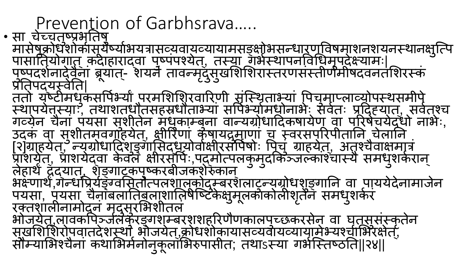Prevention of Garbhsrava…..

• सा चेच्चतृष्प्रभूतिषु ु मासेषुक्रोधशोकीसूर्येष्योभयत्रासव्यवायव्यायामसङ्क्षोभसन्धारणविषमाशनशयनस्थानक्षुत्पि पासातियोगात् कदाहारादवा पुष्पपश्येत्, तस्या गंभेस्थापनविधिमूपदेक्ष्यामः| पृष्पदर्शनादेवैनां ब्रूयात्- शयने तावन्मदुंसुर्खाशेशिरास्तरणसस्तीर्णमीषदवनतशिरस्क प्रतिपदयस्वेति| ततो यष्टीमध ु कसपिमभयाांिरममशमशरवाररर्ी संस्त्स्िताभयां पिच ु माप्ला्योिस्िसमीिे स्थापर्येत्तस्याः, तथाशतधौतसहस्रधौताभ्यां सपिभ्यामधोनाभेः सर्वतः प्रदि्हयात्, सर्वत्श्च गव्येन चैनां पयसां सुशीतेन मधुकाम्बनां वान्यग्रोधादिकषायेण वा परिषेचयेदधो नाभेः, ' उदकं वा सुशीतमवर्गाहर्येत्, क्षीरिणा कषायद्रमाणां च स्वरसंपरिपीतानि चेलानि । [२]ग्राह्येत्, न्युग्रोधादिशङ्गासिद्धयोवक्षीरसपिषोः पिच् ग्राह्येत्, अतुश्चैवाक्षमात्र प्राशयेत्, प्राशयेद्वा केवलं क्षीरसौंपैः,पदमोत्पलकुमुदर्किञ्जल्कार्श्चास्यै समधुशकेरान् लेिािां दद्यात, ् शङ्ृ गाटकि ु ष्करबीजकशेरुकान् भक्ष्णार्थं,गॅन्धप्रियेङ्ग्वसितौत्पलशालकोदम्बरशलाटुन्यग्रोधशुङ्गानि वा पाययेदेनामाजेन पयसा, पयसा चैनांबलातिबलाशालिषेष्टिकेक्षुमूलकोलीर्शृतैनं समधुशकेर रक्तशालीनामोदनं मदुसुरभिशीतलं<br>नोजन्म भोजयेत,लावकपिञ्जलकरङ्गशम्बरशशहरिणैणकालपुच्छकरसेन् वा घृतसंसरकृतेन<br>——व्यक्तपेन्द्रेन सुर्खाशेशिरोपवातदेशस्थां भौजयेत्,क्रोधशोकायासव्यवायव्यायामेभ्यश्चीभिरक्षेत्, सौम्याभिश्चैनां कथाभिमेनोनुकूलाभिरुपासीत; तथाऽस्या गर्भस्तिष्ठति||२४||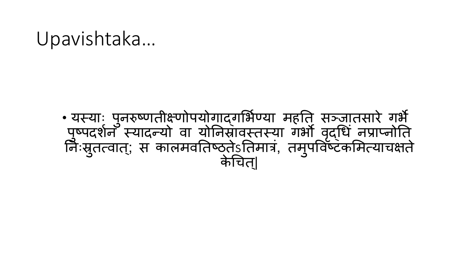#### Upavishtaka…

#### • यस्याः पुनरुष्णतीक्ष्णोपयोगाद्गभिण्या महति सञ्जातसारे गर्भै पृष्पदर्शनँ स्यादन्यो वा योनिसावस्तस्या गर्भौ वृद्धिं नप्राप्नोति । निःसुतत्वात्; स कालमवतिष्ठ्तेऽतिमात्र, तमुपविष्टकमित्याचक्षते । केचित्|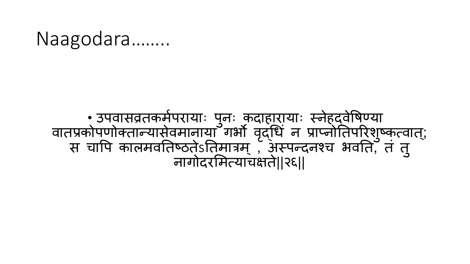#### Naagodara……..

#### •् उपवासव्रतकर्मपरायाः पुनः कदाहारायाः स्नेहदवेषिण्या वातप्रकोपणोक्तान्यासेवमानायाँ गर्भो वृद्धि न प्राप्नोतिपरिशुष्कृत्वात्; स चापि कालमवतिष्ठतेऽतिमात्रम् , अस्पन्दनश्च भवति, तं तु नागोदरममत्याचक्षते||२६||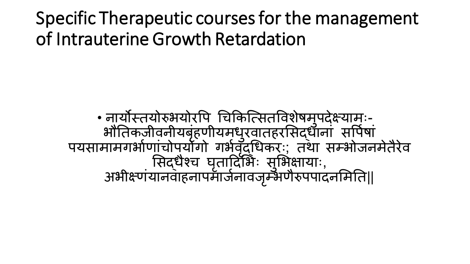Specific Therapeutic courses for the management of Intrauterine Growth Retardation

• नायौस्तयोरुभयोरपि चिकित्सितविशेषमुपदेक्ष्यामः-भौतिकजीवनीयबृहणीयमधुरवातहरसिद्धांनां सपिषा पयसामामगभोणाचोपुर्यागो गर्भवद्धिकरः; तथा सम्भोजनमेतैरेव सिद्धैश्च घृतादिभिः सुभिक्षायाः, अभीक्ष्णयानवाहनापमाजेनावजृम्भणैरुपपादनमिति||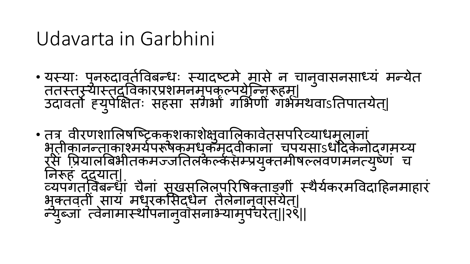#### Udavarta in Garbhini

- यस्याः पुनरुदावतेविबन्धः स्यादष्टमे मासे न चानुवासनसाध्यं मन्येत ततस्तरूयास्तद्विकारप्रशमनमुपकुल्पर्येन्निरूहम्। उदावतौ ह्युपेक्षितः सहसा संगर्भा गभिणी गर्भमथवाऽतिपातयेत्|
- तत्र वीरणशालिषष्ट्रिककशकाशेक्षुवालिकावेत़सपरिव्याधमुलानां भ ूतीकानन्ताका्मयमिरूषकमध ु कमद्ृ वीकानां चियसाऽधोदके नोद्गमय्य रसे प्रियालबिभीतकमज्जतिलकल्कसंम्प्रयुक्तमीषल्लवणमनत्युष्ण च तनरूिं दद्यात्| व्यपगतविबन्धां चैनां सुखस्तिलपुरिषिक्ताङ्गी स्थैर्यकरमविदाहिनमाहार भुक्तवती साय मधुरकसिद्धेन तैलेनानुवासयेत्| न्युब्जा त्वेनामास्थापनानुवांसनाभ्यामुपचरेत्||२९||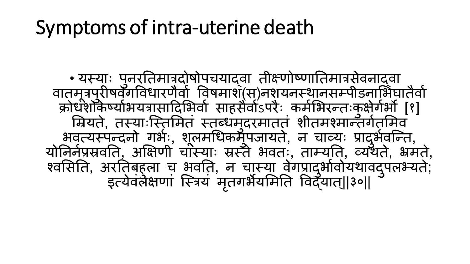## Symptoms of intra-uterine death

• यस्याः पुनरतिमात्रदोषोपचयाद्वा तीक्ष्णोष्णातिमात्रसेवनाद्वा वातमूत्रपुरीषवैँगविधारणैवो विषमाश्(स्)नशुयनस्थानसम्पीडनाभिघातैवो क्रोधशैकिष्योभयत्रासादिर्भिर्वा साहसैवोऽपरैः कमोभैरन्तःकुक्षेगेर्भौ [१] म्रियते, तस्याःस्तिमितं स्तब्धमुदरमातत् शीतमश्मान्तगेर्तामेव भवत्यस्पन्दनो गर्भः, शूलमधिकमुपजायते, न चाव्यः प्रादुर्भवन्ति, योनिनेप्रसर्वाते, अक्षिणी चास्याः स्रस्तै भवतः, ताम्यति, व्यथते, भ्रमते, ्वमसतत, अरततबि ु ला च भवतत, न चास्या वगे प्रादभ ु ावम ोयिावदि ु लभयत; े इत्येवलंक्षणां स्त्रियं मृतगर्भैर्यामेति विद्ँयात्||३०||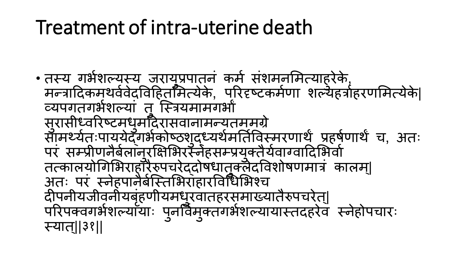# Treatment of intra-uterine death

• तस्य गभमशलयस्य जराय ु प्रिातनं कमम संशमनममत्याि ु रेके, मन्त्रादिकमथर्ववेदविहितमित्येके, परिदृष्टकर्मणा शल्येहर्त्राहरणमित्येके| व्यपगतगभेशल्या तु स्त्रियमामगर्भा सुरासीध्वरिष्टमधुमदिरासवानामन्यतममग्रे सामर्थ्यतःपाययेद्ँगभैकोष्ठशुद्ध्यर्थमतिर्विस्मरणार्थे प्रहर्षणार्थे च, अतः परं सम्प्रीणनैबेलानुरक्षिभिरस्नेहसम्प्रयुक्तैयवाग्वादिभिर्वा तत्कालयोगिभिराहाँरैरुपचरेद्दोषधातुक्लेदविशोषणमात्रं कालम्| अतः परं स्नेहपार्नैर्बस्तिभिराहारविधिभिश्च दीपनीयजीवनीयबृहणीयमधुरवातहरसमाख्यातैरुपचरेत्| परिपक्वगर्भशल्यायाः पुनर्विमुक्तगर्भशल्यायास्तदहरेव स्नेहोपचारः । स्यात्||३१||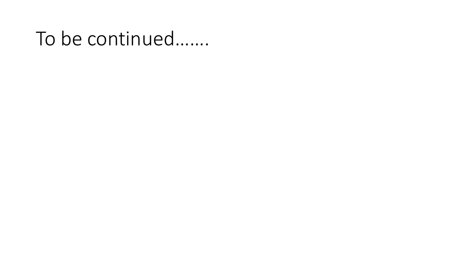## To be continued…….